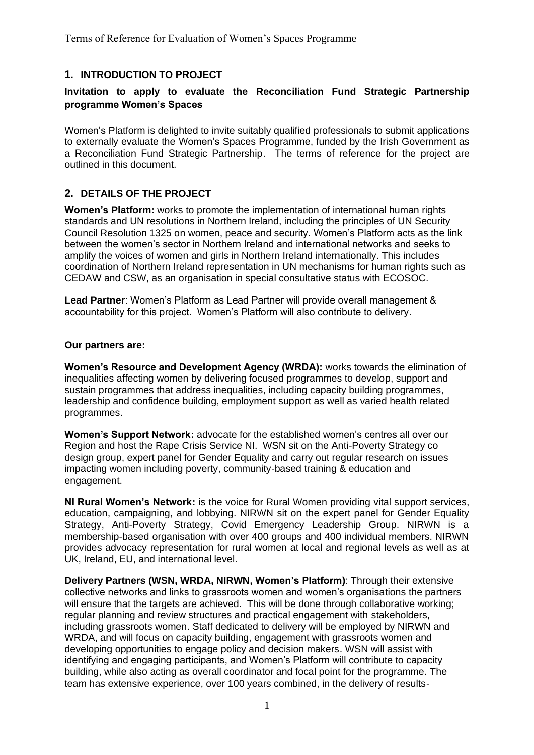## **1. INTRODUCTION TO PROJECT**

## **Invitation to apply to evaluate the Reconciliation Fund Strategic Partnership programme Women's Spaces**

Women's Platform is delighted to invite suitably qualified professionals to submit applications to externally evaluate the Women's Spaces Programme, funded by the Irish Government as a Reconciliation Fund Strategic Partnership. The terms of reference for the project are outlined in this document.

## **2. DETAILS OF THE PROJECT**

**Women's Platform:** works to promote the implementation of international human rights standards and UN resolutions in Northern Ireland, including the principles of UN Security Council Resolution 1325 on women, peace and security. Women's Platform acts as the link between the women's sector in Northern Ireland and international networks and seeks to amplify the voices of women and girls in Northern Ireland internationally. This includes coordination of Northern Ireland representation in UN mechanisms for human rights such as CEDAW and CSW, as an organisation in special consultative status with ECOSOC.

**Lead Partner**: Women's Platform as Lead Partner will provide overall management & accountability for this project. Women's Platform will also contribute to delivery.

#### **Our partners are:**

**Women's Resource and Development Agency (WRDA):** works towards the elimination of inequalities affecting women by delivering focused programmes to develop, support and sustain programmes that address inequalities, including capacity building programmes, leadership and confidence building, employment support as well as varied health related programmes.

**Women's Support Network:** advocate for the established women's centres all over our Region and host the Rape Crisis Service NI. WSN sit on the Anti-Poverty Strategy co design group, expert panel for Gender Equality and carry out regular research on issues impacting women including poverty, community-based training & education and engagement.

**NI Rural Women's Network:** is the voice for Rural Women providing vital support services, education, campaigning, and lobbying. NIRWN sit on the expert panel for Gender Equality Strategy, Anti-Poverty Strategy, Covid Emergency Leadership Group. NIRWN is a membership-based organisation with over 400 groups and 400 individual members. NIRWN provides advocacy representation for rural women at local and regional levels as well as at UK, Ireland, EU, and international level.

**Delivery Partners (WSN, WRDA, NIRWN, Women's Platform)**: Through their extensive collective networks and links to grassroots women and women's organisations the partners will ensure that the targets are achieved. This will be done through collaborative working; regular planning and review structures and practical engagement with stakeholders, including grassroots women. Staff dedicated to delivery will be employed by NIRWN and WRDA, and will focus on capacity building, engagement with grassroots women and developing opportunities to engage policy and decision makers. WSN will assist with identifying and engaging participants, and Women's Platform will contribute to capacity building, while also acting as overall coordinator and focal point for the programme. The team has extensive experience, over 100 years combined, in the delivery of results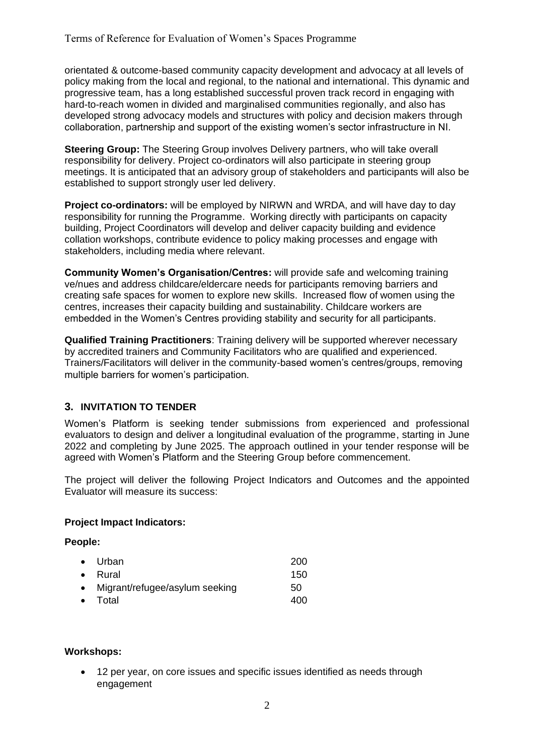orientated & outcome-based community capacity development and advocacy at all levels of policy making from the local and regional, to the national and international. This dynamic and progressive team, has a long established successful proven track record in engaging with hard-to-reach women in divided and marginalised communities regionally, and also has developed strong advocacy models and structures with policy and decision makers through collaboration, partnership and support of the existing women's sector infrastructure in NI.

**Steering Group:** The Steering Group involves Delivery partners, who will take overall responsibility for delivery. Project co-ordinators will also participate in steering group meetings. It is anticipated that an advisory group of stakeholders and participants will also be established to support strongly user led delivery.

**Project co-ordinators:** will be employed by NIRWN and WRDA, and will have day to day responsibility for running the Programme. Working directly with participants on capacity building, Project Coordinators will develop and deliver capacity building and evidence collation workshops, contribute evidence to policy making processes and engage with stakeholders, including media where relevant.

**Community Women's Organisation/Centres:** will provide safe and welcoming training ve/nues and address childcare/eldercare needs for participants removing barriers and creating safe spaces for women to explore new skills. Increased flow of women using the centres, increases their capacity building and sustainability. Childcare workers are embedded in the Women's Centres providing stability and security for all participants.

**Qualified Training Practitioners**: Training delivery will be supported wherever necessary by accredited trainers and Community Facilitators who are qualified and experienced. Trainers/Facilitators will deliver in the community-based women's centres/groups, removing multiple barriers for women's participation.

# **3. INVITATION TO TENDER**

Women's Platform is seeking tender submissions from experienced and professional evaluators to design and deliver a longitudinal evaluation of the programme, starting in June 2022 and completing by June 2025. The approach outlined in your tender response will be agreed with Women's Platform and the Steering Group before commencement.

The project will deliver the following Project Indicators and Outcomes and the appointed Evaluator will measure its success:

## **Project Impact Indicators:**

#### **People:**

| $\bullet$ Urban                  | 200 |
|----------------------------------|-----|
| $\bullet$ Rural                  | 150 |
| • Migrant/refugee/asylum seeking | 50  |
| $\bullet$ Total                  | 400 |

#### **Workshops:**

• 12 per year, on core issues and specific issues identified as needs through engagement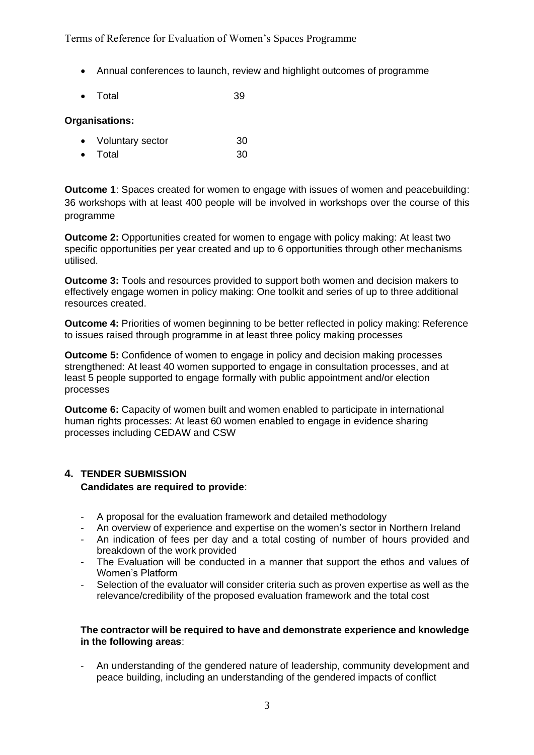Terms of Reference for Evaluation of Women's Spaces Programme

- Annual conferences to launch, review and highlight outcomes of programme
- Total 39

#### **Organisations:**

- Voluntary sector 30
- Total 30

**Outcome 1**: Spaces created for women to engage with issues of women and peacebuilding: 36 workshops with at least 400 people will be involved in workshops over the course of this programme

**Outcome 2:** Opportunities created for women to engage with policy making: At least two specific opportunities per year created and up to 6 opportunities through other mechanisms utilised.

**Outcome 3:** Tools and resources provided to support both women and decision makers to effectively engage women in policy making: One toolkit and series of up to three additional resources created.

**Outcome 4:** Priorities of women beginning to be better reflected in policy making: Reference to issues raised through programme in at least three policy making processes

**Outcome 5:** Confidence of women to engage in policy and decision making processes strengthened: At least 40 women supported to engage in consultation processes, and at least 5 people supported to engage formally with public appointment and/or election processes

**Outcome 6:** Capacity of women built and women enabled to participate in international human rights processes: At least 60 women enabled to engage in evidence sharing processes including CEDAW and CSW

## **4. TENDER SUBMISSION**

#### **Candidates are required to provide**:

- A proposal for the evaluation framework and detailed methodology
- An overview of experience and expertise on the women's sector in Northern Ireland
- An indication of fees per day and a total costing of number of hours provided and breakdown of the work provided
- The Evaluation will be conducted in a manner that support the ethos and values of Women's Platform
- Selection of the evaluator will consider criteria such as proven expertise as well as the relevance/credibility of the proposed evaluation framework and the total cost

#### **The contractor will be required to have and demonstrate experience and knowledge in the following areas**:

- An understanding of the gendered nature of leadership, community development and peace building, including an understanding of the gendered impacts of conflict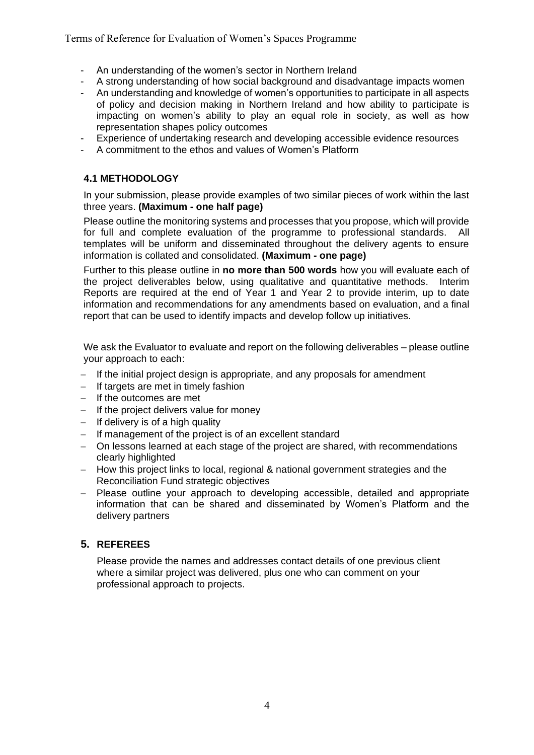Terms of Reference for Evaluation of Women's Spaces Programme

- An understanding of the women's sector in Northern Ireland
- A strong understanding of how social background and disadvantage impacts women
- An understanding and knowledge of women's opportunities to participate in all aspects of policy and decision making in Northern Ireland and how ability to participate is impacting on women's ability to play an equal role in society, as well as how representation shapes policy outcomes
- Experience of undertaking research and developing accessible evidence resources
- A commitment to the ethos and values of Women's Platform

## **4.1 METHODOLOGY**

In your submission, please provide examples of two similar pieces of work within the last three years. **(Maximum - one half page)**

Please outline the monitoring systems and processes that you propose, which will provide for full and complete evaluation of the programme to professional standards. All templates will be uniform and disseminated throughout the delivery agents to ensure information is collated and consolidated. **(Maximum - one page)**

Further to this please outline in **no more than 500 words** how you will evaluate each of the project deliverables below, using qualitative and quantitative methods. Interim Reports are required at the end of Year 1 and Year 2 to provide interim, up to date information and recommendations for any amendments based on evaluation, and a final report that can be used to identify impacts and develop follow up initiatives.

We ask the Evaluator to evaluate and report on the following deliverables – please outline your approach to each:

- − If the initial project design is appropriate, and any proposals for amendment
- − If targets are met in timely fashion
- − If the outcomes are met
- − If the project delivers value for money
- − If delivery is of a high quality
- − If management of the project is of an excellent standard
- − On lessons learned at each stage of the project are shared, with recommendations clearly highlighted
- − How this project links to local, regional & national government strategies and the Reconciliation Fund strategic objectives
- − Please outline your approach to developing accessible, detailed and appropriate information that can be shared and disseminated by Women's Platform and the delivery partners

# **5. REFEREES**

Please provide the names and addresses contact details of one previous client where a similar project was delivered, plus one who can comment on your professional approach to projects.